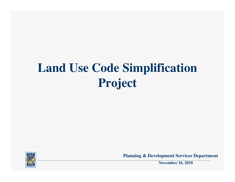# **Land Use Code Simplification Project**



**Planning & Development Services Department**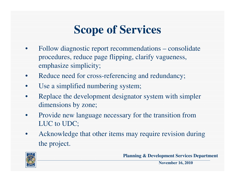## **Scope of Services**

- Follow diagnostic report recommendations consolidate procedures, reduce page flipping, clarify vagueness, emphasize simplicity;
- Reduce need for cross-referencing and redundancy;
- Use a simplified numbering system;
- Replace the development designator system with simpler dimensions by zone;
- Provide new language necessary for the transition from LUC to UDC;
- Acknowledge that other items may require revision during the project.



**Planning & Development Services Department**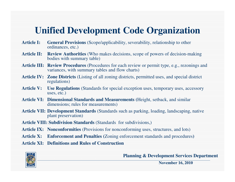#### **Unified Development Code Organization**

- **Article I: General Provisions** (Scope/applicability, severability, relationship to other ordinances, etc.)
- **Article II: Review Authorities** (Who makes decisions, scope of powers of decision-making bodies with summary table)
- **Article III: Review Procedures** (Procedures for each review or permit type, e.g., rezonings and variances, with summary tables and flow charts)
- **Article IV: Zone Districts** (Listing of all zoning districts, permitted uses, and special district regulations)
- Article V: Use Regulations (Standards for special exception uses, temporary uses, accessory uses, etc.)
- **Article VI: Dimensional Standards and Measurements (**Height, setback, and similar dimensions; rules for measurements)
- **Article VII: Development Standards** (Standards such as parking, loading, landscaping, native plant preservation)
- **Article VIII: Subdivision Standards** (Standards for subdivisions,)
- Article IX: Nonconformities (Provisions for nonconforming uses, structures, and lots)
- **Article X: Enforcement and Penalties (**Zoning enforcement standards and procedures**)**

**Article XI: Definitions and Rules of Construction** 



**Planning & Development Services Department**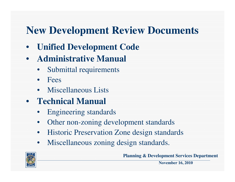#### **New Development Review Documents**

- **Unified Development Code**
- **Administrative Manual**
	- Submittal requirements
	- Fees
	- Miscellaneous Lists
- **Technical Manual**
	- Engineering standards
	- Other non-zoning development standards
	- Historic Preservation Zone design standards
	- Miscellaneous zoning design standards.



**Planning & Development Services Department**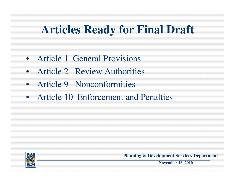#### **Articles Ready for Final Draft**

- Article 1 General Provisions
- Article 2 Review Authorities
- Article 9 Nonconformities
- Article 10 Enforcement and Penalties



**Planning & Development Services Department**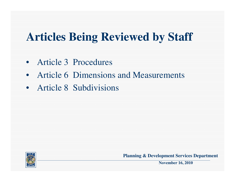## **Articles Being Reviewed by Staff**

- Article 3 Procedures
- Article 6 Dimensions and Measurements
- Article 8 Subdivisions



**Planning & Development Services Department**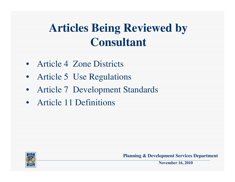#### **Articles Being Reviewed by Consultant**

- Article 4 Zone Districts
- Article 5 Use Regulations
- Article 7 Development Standards
- Article 11 Definitions



**Planning & Development Services Department**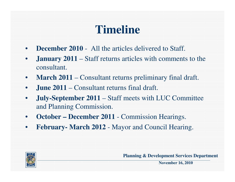## **Timeline**

- **December 2010** All the articles delivered to Staff.
- **January 2011** Staff returns articles with comments to the consultant.
- **March 2011** Consultant returns preliminary final draft.
- **June 2011** Consultant returns final draft.
- **July-September 2011** Staff meets with LUC Committee and Planning Commission.
- **October December 2011** Commission Hearings.
- **February- March 2012** Mayor and Council Hearing.



**Planning & Development Services Department**